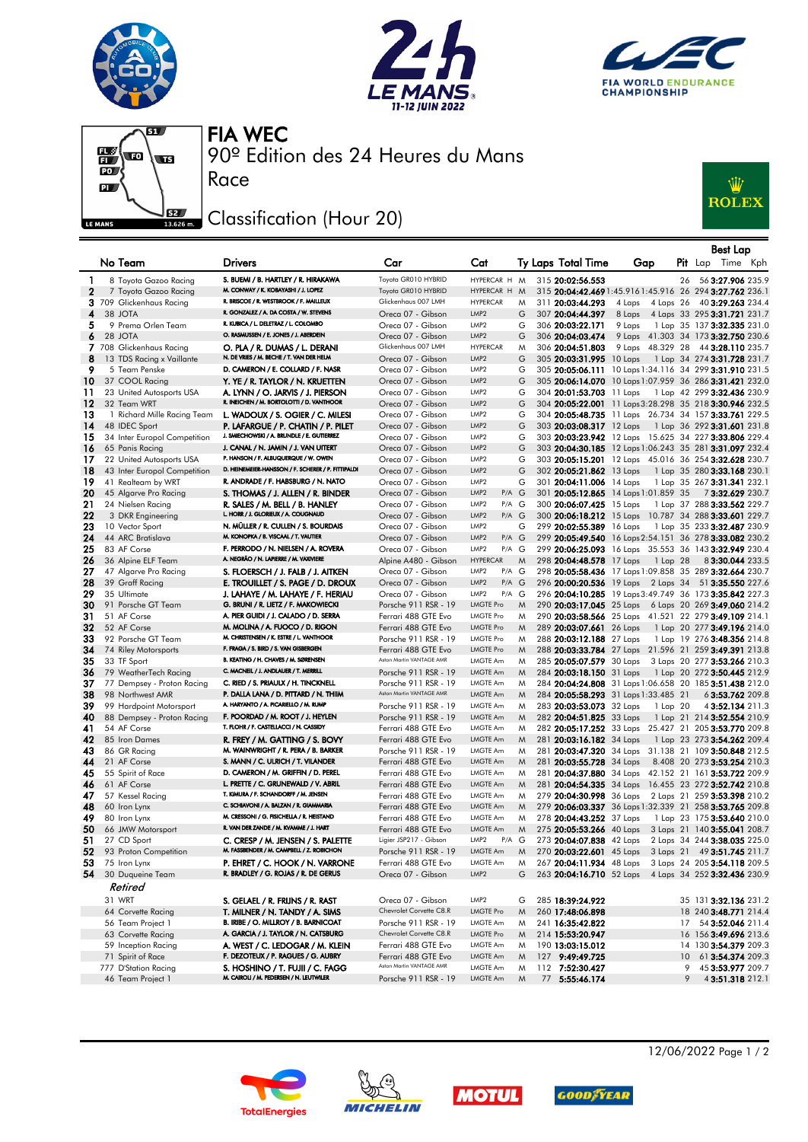







90º Edition des 24 Heures du Mans FIA WEC

## Classification (Hour 20)

Race



|          |                                            |                                                                                     |                                                |                                                            |        |                                                      |                                      |    | Best Lap                                                                                                           |
|----------|--------------------------------------------|-------------------------------------------------------------------------------------|------------------------------------------------|------------------------------------------------------------|--------|------------------------------------------------------|--------------------------------------|----|--------------------------------------------------------------------------------------------------------------------|
|          | No Team                                    | Drivers                                                                             | Car                                            | Cat                                                        |        | Ty Laps Total Time                                   | Gap                                  |    | Pit Lap Time Kph                                                                                                   |
| 1        | 8 Toyota Gazoo Racing                      | S. BUEMI / B. HARTLEY / R. HIRAKAWA                                                 | Toyota GR010 HYBRID                            | HYPERCAR H M                                               |        | 315 20:02:56.553                                     |                                      | 26 | 56 3:27.906 235.9                                                                                                  |
| 2        | 7 Toyota Gazoo Racing                      | M. CONWAY / K. KOBAYASHI / J. LOPEZ                                                 | Toyota GR010 HYBRID                            | HYPERCAR H                                                 | M      |                                                      |                                      |    | 315 20:04:42.469 1:45.916 1:45.916 26 294 3:27.762 236.1                                                           |
|          | 3 709 Glickenhaus Racing                   | R. BRISCOE / R. WESTBROOK / F. MAILLEUX                                             | Glickenhaus 007 LMH                            | <b>HYPERCAR</b>                                            | M      | 311 20:03:44.293                                     | 4 Laps<br>4 Laps 26                  |    | 40 3:29.263 234.4                                                                                                  |
| 4        | 38 JOTA                                    | R. GONZALEZ / A. DA COSTA / W. STEVENS                                              | Oreca 07 - Gibson                              | LMP <sub>2</sub>                                           | G      | 307 20:04:44.397                                     | 8 Laps                               |    | 4 Laps 33 295 3:31.721 231.7                                                                                       |
| 5        | 9 Prema Orlen Team                         | R. KUBICA / L. DELETRAZ / L. COLOMBO                                                | Oreca 07 - Gibson                              | LMP <sub>2</sub>                                           | G      | 306 20:03:22.171                                     | 9 Laps                               |    | 1 Lap 35 137 3:32.335 231.0                                                                                        |
| 6        | 28 JOTA                                    | O. RASMUSSEN / E. JONES / J. ABERDEIN                                               | Oreca 07 - Gibson                              | LMP <sub>2</sub>                                           | G      | 306 20:04:03.474                                     |                                      |    | 9 Laps 41.303 34 173 3:32.750 230.6                                                                                |
|          | 7 708 Glickenhaus Racing                   | O. PLA / R. DUMAS / L. DERANI                                                       | Glickenhaus 007 LMH                            | <b>HYPERCAR</b>                                            | M      | 306 20:04:51.803                                     |                                      |    | 9 Laps 48.329 28 44 3:28.110 235.7                                                                                 |
| 8        | 13 TDS Racing x Vaillante                  | N. DE VRIES / M. BECHE / T. VAN DER HELM<br>D. CAMERON / E. COLLARD / F. NASR       | Oreca 07 - Gibson                              | LMP <sub>2</sub><br>LMP <sub>2</sub>                       | G      | 305 20:03:31.995 10 Laps                             |                                      |    | 1 Lap 34 274 3:31.728 231.7                                                                                        |
| 9<br>10  | 5 Team Penske<br>37 COOL Racing            |                                                                                     | Oreca 07 - Gibson<br>Oreca 07 - Gibson         | LMP <sub>2</sub>                                           | G<br>G |                                                      |                                      |    | 305 20:05:06.111 10 Laps 1:34.116 34 299 3:31.910 231.5<br>305 20:06:14.070 10 Laps 1:07.959 36 286 3:31.421 232.0 |
| 11       | 23 United Autosports USA                   | Y. YE / R. TAYLOR / N. KRUETTEN<br>A. LYNN / O. JARVIS / J. PIERSON                 | Oreca 07 - Gibson                              | LMP <sub>2</sub>                                           | G      | 304 20:01:53.703 11 Laps                             |                                      |    | 1 Lap 42 299 3:32.436 230.9                                                                                        |
| 12       | 32 Team WRT                                | R. INEICHEN / M. BORTOLOTTI / D. VANTHOOR                                           | Oreca 07 - Gibson                              | LMP <sub>2</sub>                                           | G      |                                                      |                                      |    | 304 20:05:22.001 11 Laps 3:28.298 35 218 3:30.946 232.5                                                            |
| 13       | 1 Richard Mille Racing Team                | L. WADOUX / S. OGIER / C. MILESI                                                    | Oreca 07 - Gibson                              | LMP <sub>2</sub>                                           | G      |                                                      |                                      |    | 304 20:05:48.735 11 Laps 26.734 34 157 3:33.761 229.5                                                              |
| 14       | 48 IDEC Sport                              | P. LAFARGUE / P. CHATIN / P. PILET                                                  | Oreca 07 - Gibson                              | LMP <sub>2</sub>                                           | G      | 303 20:03:08.317 12 Laps                             |                                      |    | 1 Lap 36 292 3:31.601 231.8                                                                                        |
| 15       | 34 Inter Europol Competition               | J. SMIECHOWSKI / A. BRUNDLE / E. GUTIERREZ                                          | Oreca 07 - Gibson                              | LMP <sub>2</sub>                                           | G      |                                                      |                                      |    | 303 20:03:23.942 12 Laps 15.625 34 227 3:33.806 229.4                                                              |
| 16       | 65 Panis Racing                            | J. CANAL / N. JAMIN / J. VAN UITERT                                                 | Oreca 07 - Gibson                              | LMP <sub>2</sub>                                           | G      |                                                      |                                      |    | 303 20:04:30.185 12 Laps 1:06.243 35 281 3:31.097 232.4                                                            |
| 17       | 22 United Autosports USA                   | P. HANSON / F. ALBUQUERQUE / W. OWEN                                                | Oreca 07 - Gibson                              | LMP <sub>2</sub>                                           | G      |                                                      |                                      |    | 303 20:05:15.201 12 Laps 45.016 36 254 3:32.628 230.7                                                              |
| 18       | 43 Inter Europol Competition               | D. HEINEMEIER-HANSSON / F. SCHERER / P. FITTIPALDI                                  | Oreca 07 - Gibson                              | LMP <sub>2</sub>                                           | G      | 302 20:05:21.862 13 Laps                             |                                      |    | 1 Lap 35 280 3:33.168 230.1                                                                                        |
| 19       | 41 Realteam by WRT                         | R. ANDRADE / F. HABSBURG / N. NATO                                                  | Oreca 07 - Gibson                              | LMP <sub>2</sub>                                           | G      | 301 20:04:11.006 14 Laps                             |                                      |    | 1 Lap 35 267 3:31.341 232.1                                                                                        |
| 20<br>21 | 45 Algarve Pro Racing<br>24 Nielsen Racing | S. THOMAS / J. ALLEN / R. BINDER                                                    | Oreca 07 - Gibson<br>Oreca 07 - Gibson         | LMP <sub>2</sub><br>$P/A$ $G$<br>LMP <sub>2</sub><br>P/A G |        |                                                      | 301 20:05:12.865 14 Laps 1:01.859 35 |    | 73:32.629 230.7<br>1 Lap 37 288 3:33.562 229.7                                                                     |
| 22       | 3 DKR Engineering                          | R. SALES / M. BELL / B. HANLEY<br>L. HORR / J. GLORIEUX / A. COUGNAUD               | Oreca 07 - Gibson                              | LMP <sub>2</sub><br>$P/A$ $G$                              |        | 300 20:06:07.425 15 Laps<br>300 20:06:18.212 15 Laps |                                      |    | 10.787 34 288 3:33.601 229.7                                                                                       |
| 23       | 10 Vector Sport                            | N. MÜLLER / R. CULLEN / S. BOURDAIS                                                 | Oreca 07 - Gibson                              | LMP <sub>2</sub>                                           | G      | 299 20:02:55.389 16 Laps                             |                                      |    | 1 Lap 35 233 3:32.487 230.9                                                                                        |
| 24       | 44 ARC Bratislava                          | M. KONOPKA / B. VISCAAL / T. VAUTIER                                                | Oreca 07 - Gibson                              | LMP <sub>2</sub><br>$P/A$ $G$                              |        |                                                      |                                      |    | 299 20:05:49.540 16 Laps 2:54.151 36 278 3:33.082 230.2                                                            |
| 25       | 83 AF Corse                                | F. PERRODO / N. NIELSEN / A. ROVERA                                                 | Oreca 07 - Gibson                              | LMP <sub>2</sub><br>P/A G                                  |        |                                                      |                                      |    | 299 20:06:25.093 16 Laps 35.553 36 143 3:32.949 230.4                                                              |
| 26       | 36 Alpine ELF Team                         | A. NEGRÃO / N. LAPIERRE / M. VAXIVIERE                                              | Alpine A480 - Gibson                           | <b>HYPERCAR</b>                                            | M      | 298 20:04:48.578 17 Laps                             | 1 Lap 28                             |    | 83:30.044 233.5                                                                                                    |
| 27       | 47 Algarve Pro Racing                      | S. FLOERSCH / J. FALB / J. AITKEN                                                   | Oreca 07 - Gibson                              | LMP <sub>2</sub><br>P/A G                                  |        |                                                      |                                      |    | 298 20:05:58.436 17 Laps 1:09.858 35 289 3:32.664 230.7                                                            |
| 28       | 39 Graff Racing                            | E. TROUILLET / S. PAGE / D. DROUX                                                   | Oreca 07 - Gibson                              | LMP <sub>2</sub><br>$P/A$ $G$                              |        |                                                      |                                      |    | 296 20:00:20.536 19 Laps 2 Laps 34 51 3:35.550 227.6                                                               |
| 29       | 35 Ultimate                                | J. LAHAYE / M. LAHAYE / F. HERIAU                                                   | Oreca 07 - Gibson                              | LMP <sub>2</sub><br>P/A G                                  |        |                                                      |                                      |    | 296 20:04:10.285 19 Laps 3:49.749 36 173 3:35.842 227.3                                                            |
| 30       | 91 Porsche GT Team                         | G. BRUNI / R. LIETZ / F. MAKOWIECKI                                                 | Porsche 911 RSR - 19                           | <b>LMGTE Pro</b><br><b>LMGTE Pro</b>                       | M      |                                                      |                                      |    | 290 20:03:17.045 25 Laps 6 Laps 20 269 3:49.060 214.2                                                              |
| 31<br>32 | 51 AF Corse<br>52 AF Corse                 | A. PIER GUIDI / J. CALADO / D. SERRA<br>M. MOLINA / A. FUOCO / D. RIGON             | Ferrari 488 GTE Evo<br>Ferrari 488 GTE Evo     | LMGTE Pro                                                  | M<br>M | 289 20:03:07.661 26 Laps                             |                                      |    | 290 20:03:58.566 25 Laps 41.521 22 279 3:49.109 214.1                                                              |
| 33       | 92 Porsche GT Team                         | M. CHRISTENSEN / K. ESTRE / L. VANTHOOR                                             | Porsche 911 RSR - 19                           | <b>LMGTE Pro</b>                                           | M      | 288 20:03:12.188 27 Laps                             |                                      |    | 1 Lap 20 277 3:49.196 214.0<br>1 Lap 19 276 3:48.356 214.8                                                         |
| 34       | 74 Riley Motorsports                       | F. FRAGA / S. BIRD / S. VAN GISBERGEN                                               | Ferrari 488 GTE Evo                            | <b>LMGTE Pro</b>                                           | M      |                                                      |                                      |    | 288 20:03:33.784 27 Laps 21.596 21 259 3:49.391 213.8                                                              |
| 35       | 33 TF Sport                                | B. KEATING / H. CHAVES / M. SØRENSEN                                                | Aston Martin VANTAGE AMR                       | LMGTE Am                                                   | M      | 285 20:05:07.579 30 Laps                             |                                      |    | 3 Laps 20 277 3:53.266 210.3                                                                                       |
| 36       | 79 WeatherTech Racing                      | C. MACNEIL / J. ANDLAUER / T. MERRILL                                               | Porsche 911 RSR - 19                           | LMGTE Am                                                   | M      | 284 20:03:18.150 31 Laps                             |                                      |    | 1 Lap 20 272 3:50.445 212.9                                                                                        |
| 37       | 77 Dempsey - Proton Racing                 | C. RIED / S. PRIAULX / H. TINCKNELL                                                 | Porsche 911 RSR - 19                           | LMGTE Am                                                   | M      |                                                      |                                      |    | 284 20:04:24.808 31 Laps 1:06.658 20 185 3:51.438 212.0                                                            |
| 38       | 98 Northwest AMR                           | P. DALLA LANA / D. PITTARD / N. THIM                                                | Aston Martin VANTAGE AMR                       | <b>LMGTE Am</b>                                            | M      |                                                      | 284 20:05:58.293 31 Laps 1:33.485 21 |    | 63:53.762 209.8                                                                                                    |
| 39       | 99 Hardpoint Motorsport                    | A. HARYANTO / A. PICARIELLO / M. RUMP                                               | Porsche 911 RSR - 19                           | LMGTE Am                                                   | M      | 283 20:03:53.073 32 Laps                             | 1 Lap 20                             |    | 4 3:52.134 211.3                                                                                                   |
| 40       | 88 Dempsey - Proton Racing                 | F. POORDAD / M. ROOT / J. HEYLEN<br>T. FLOHR / F. CASTELLACCI / N. CASSIDY          | Porsche 911 RSR - 19                           | LMGTE Am                                                   | M      | 282 20:04:51.825 33 Laps                             |                                      |    | 1 Lap 21 214 3:52.554 210.9                                                                                        |
| 41<br>42 | 54 AF Corse<br>85 Iron Dames               |                                                                                     | Ferrari 488 GTE Evo<br>Ferrari 488 GTE Evo     | LMGTE Am<br>LMGTE Am                                       | M<br>M |                                                      |                                      |    | 282 20:05:17.252 33 Laps 25.427 21 205 3:53.770 209.8                                                              |
| 43       | 86 GR Racing                               | R. FREY / M. GATTING / S. BOVY<br>M. WAINWRIGHT / R. PERA / B. BARKER               | Porsche 911 RSR - 19                           | <b>LMGTE Am</b>                                            | M      | 281 20:03:16.182 34 Laps                             |                                      |    | 1 Lap 23 273 3:54.262 209.4<br>281 20:03:47.320 34 Laps 31.138 21 109 3:50.848 212.5                               |
| 44       | 21 AF Corse                                | S. MANN / C. ULRICH / T. VILANDER                                                   | Ferrari 488 GTE Evo                            | LMGTE Am                                                   | M      | 281 20:03:55.728 34 Laps                             |                                      |    | 8.408 20 273 3:53.254 210.3                                                                                        |
| 45       | 55 Spirit of Race                          | D. CAMERON / M. GRIFFIN / D. PEREL                                                  | Ferrari 488 GTE Evo                            | LMGTE Am                                                   | M      |                                                      |                                      |    | 281 20:04:37.880 34 Laps 42.152 21 161 3:53.722 209.9                                                              |
| 46       | 61 AF Corse                                | L. PRETTE / C. GRUNEWALD / V. ABRIL                                                 | Ferrari 488 GTE Evo                            | LMGTE Am                                                   | M      | 281 20:04:54.335 34 Laps                             |                                      |    | 16.455 23 272 3:52.742 210.8                                                                                       |
| 47       | 57 Kessel Racing                           | T. KIMURA / F. SCHANDORFF / M. JENSEN                                               | Ferrari 488 GTE Evo                            | LMGTE Am                                                   | M      | 279 20:04:30.998 36 Laps                             |                                      |    | 2 Laps 21 259 3:53.398 210.2                                                                                       |
| 48       | 60 Iron Lynx                               | C. SCHIAVONI / A. BALZAN / R. GIAMMARIA                                             | Ferrari 488 GTE Evo                            | LMGTE Am                                                   | M      |                                                      |                                      |    | 279 20:06:03.337 36 Laps 1:32.339 21 258 3:53.765 209.8                                                            |
| 49       | 80 Iron Lynx                               | M. CRESSONI / G. FISICHELLA / R. HEISTAND<br>R. VAN DER ZANDE / M. KVAMME / J. HART | Ferrari 488 GTE Evo                            | LMGTE Am                                                   | M      | 278 20:04:43.252 37 Laps                             |                                      |    | 1 Lap 23 175 3:53.640 210.0                                                                                        |
| 50       | 66 JMW Motorsport                          |                                                                                     | Ferrari 488 GTE Evo                            | <b>LMGTE Am</b>                                            | M      | 275 20:05:53.266 40 Laps                             |                                      |    | 3 Laps 21 140 3:55.041 208.7                                                                                       |
| 51<br>52 | 27 CD Sport<br>93 Proton Competition       | C. CRESP / M. JENSEN / S. PALETTE<br>M. FASSBENDER / M. CAMPBELL / Z. ROBICHON      | Ligier JSP217 - Gibson<br>Porsche 911 RSR - 19 | LMP <sub>2</sub><br>P/A G<br>LMGTE Am                      |        | 273 20:04:07.838 42 Laps<br>270 20:03:22.601 45 Laps |                                      |    | 2 Laps 34 244 3:38.035 225.0<br>3 Laps 21 49 3:51.745 211.7                                                        |
| 53       | 75 Iron Lynx                               | P. EHRET / C. HOOK / N. VARRONE                                                     | Ferrari 488 GTE Evo                            | LMGTE Am                                                   | M<br>Μ | 267 20:04:11.934 48 Laps                             |                                      |    | 3 Laps 24 205 3:54.118 209.5                                                                                       |
| 54       | 30 Duqueine Team                           | R. BRADLEY / G. ROJAS / R. DE GERUS                                                 | Oreca 07 - Gibson                              | LMP <sub>2</sub>                                           | G      | 263 20:04:16.710 52 Laps                             |                                      |    | 4 Laps 34 252 3:32.436 230.9                                                                                       |
|          | Retired                                    |                                                                                     |                                                |                                                            |        |                                                      |                                      |    |                                                                                                                    |
|          | 31 WRT                                     | S. GELAEL / R. FRIJNS / R. RAST                                                     | Oreca 07 - Gibson                              | LMP2                                                       | G      | 285 18:39:24.922                                     |                                      |    | 35 131 3:32.136 231.2                                                                                              |
|          | 64 Corvette Racing                         | T. MILNER / N. TANDY / A. SIMS                                                      | Chevrolet Corvette C8.R                        | <b>LMGTE Pro</b>                                           | M      | 260 17:48:06.898                                     |                                      |    | 18 240 3:48.771 214.4                                                                                              |
|          | 56 Team Project 1                          | B. IRIBE / O. MILLROY / B. BARNICOAT                                                | Porsche 911 RSR - 19                           | <b>LMGTE Am</b>                                            | M      | 241 16:35:42.822                                     |                                      | 17 | 54 3:52.046 211.4                                                                                                  |
|          | 63 Corvette Racing                         | A. GARCIA / J. TAYLOR / N. CATSBURG                                                 | Chevrolet Corvette C8.R                        | <b>LMGTE Pro</b>                                           | M      | 214 15:53:20.947                                     |                                      |    | 16 156 3:49.696 213.6                                                                                              |
|          | 59 Inception Racing                        | A. WEST / C. LEDOGAR / M. KLEIN                                                     | Ferrari 488 GTE Evo                            | <b>LMGTE Am</b>                                            | M      | 190 13:03:15.012                                     |                                      |    | 14 130 3:54.379 209.3                                                                                              |
|          | 71 Spirit of Race                          | F. DEZOTEUX / P. RAGUES / G. AUBRY                                                  | Ferrari 488 GTE Evo                            | LMGTE Am                                                   | M      | 127 9:49:49.725                                      |                                      | 10 | 61 3:54.374 209.3                                                                                                  |
|          | 777 D'Station Racing                       | S. HOSHINO / T. FUJII / C. FAGG                                                     | Aston Martin VANTAGE AMR                       | LMGTE Am                                                   | M      | 112 7:52:30.427                                      |                                      | 9  | 45 3:53.977 209.7                                                                                                  |
|          | 46 Team Project 1                          | M. CAIROLI / M. PEDERSEN / N. LEUTWILER                                             | Porsche 911 RSR - 19                           | LMGTE Am                                                   | M      | 77 5:55:46.174                                       |                                      | 9  | 4 3:51.318 212.1                                                                                                   |









12/06/2022 Page 1 / 2